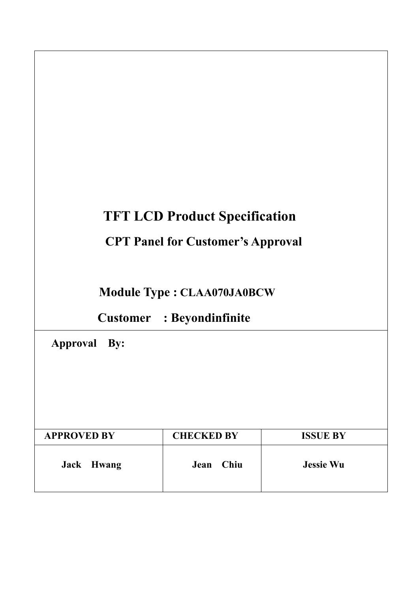# **TFT LCD Product Specification**

# **CPT Panel for Customer's Approval**

# **Module Type : CLAA070JA0BCW**

# **Customer : Beyondinfinite**

 **Approval By:** 

| <b>APPROVED BY</b> | <b>CHECKED BY</b> | <b>ISSUE BY</b>  |  |  |
|--------------------|-------------------|------------------|--|--|
| Jack Hwang         | Jean Chiu         | <b>Jessie Wu</b> |  |  |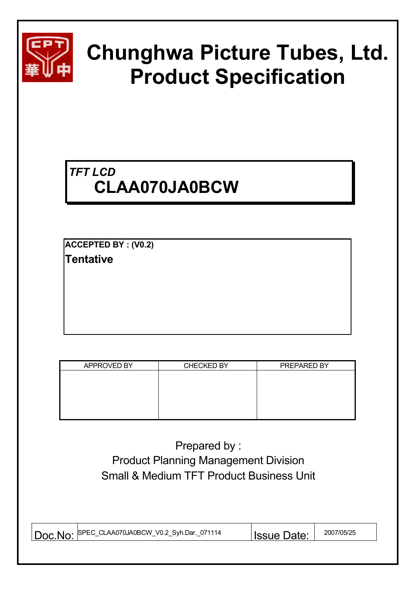

# **Chunghwa Picture Tubes, Ltd. Product Specification**

# *TFT LCD* **CLAA070JA0BCW**

**ACCEPTED BY : (V0.2) Tentative**

| APPROVED BY | <b>CHECKED BY</b> | PREPARED BY |
|-------------|-------------------|-------------|
|             |                   |             |
|             |                   |             |
|             |                   |             |
|             |                   |             |
|             |                   |             |

# Prepared by : Product Planning Management Division Small & Medium TFT Product Business Unit

| LAA070JA0BCW V0.2 Svh.Dar.<br><b>SPEC</b><br>071114<br>CL.<br>OC.<br>NO.<br>-<br>$\overline{\phantom{0}}$<br>–<br>_ | Jate: | 2007/05/25 |
|---------------------------------------------------------------------------------------------------------------------|-------|------------|
|---------------------------------------------------------------------------------------------------------------------|-------|------------|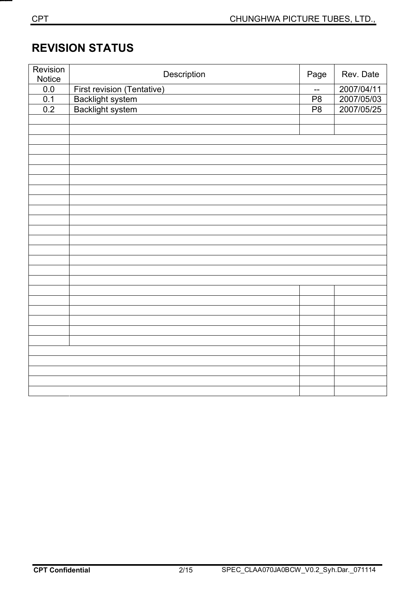# **REVISION STATUS**

| Revision<br>Notice | Description                                                        | Page            | Rev. Date  |
|--------------------|--------------------------------------------------------------------|-----------------|------------|
| 0.0                | First revision (Tentative)<br>Backlight system<br>Backlight system | $-$             | 2007/04/11 |
| 0.1                |                                                                    | $\overline{P8}$ | 2007/05/03 |
| 0.2                |                                                                    | $\overline{P8}$ | 2007/05/25 |
|                    |                                                                    |                 |            |
|                    |                                                                    |                 |            |
|                    |                                                                    |                 |            |
|                    |                                                                    |                 |            |
|                    |                                                                    |                 |            |
|                    |                                                                    |                 |            |
|                    |                                                                    |                 |            |
|                    |                                                                    |                 |            |
|                    |                                                                    |                 |            |
|                    |                                                                    |                 |            |
|                    |                                                                    |                 |            |
|                    |                                                                    |                 |            |
|                    |                                                                    |                 |            |
|                    |                                                                    |                 |            |
|                    |                                                                    |                 |            |
|                    |                                                                    |                 |            |
|                    |                                                                    |                 |            |
|                    |                                                                    |                 |            |
|                    |                                                                    |                 |            |
|                    |                                                                    |                 |            |
|                    |                                                                    |                 |            |
|                    |                                                                    |                 |            |
|                    |                                                                    |                 |            |
|                    |                                                                    |                 |            |
|                    |                                                                    |                 |            |
|                    |                                                                    |                 |            |
|                    |                                                                    |                 |            |
|                    |                                                                    |                 |            |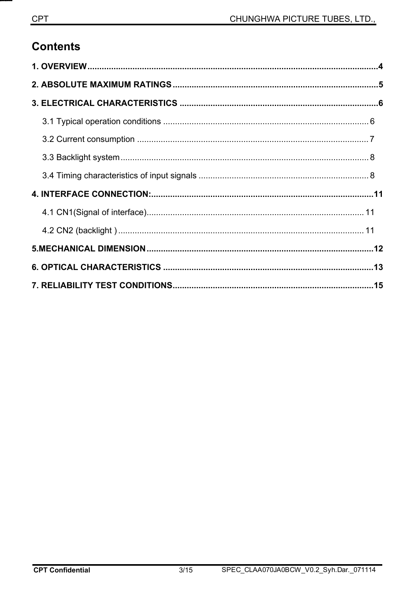# **Contents**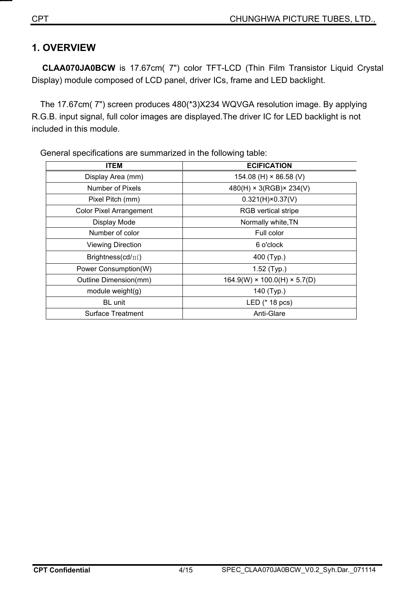### **1. OVERVIEW**

**CLAA070JA0BCW** is 17.67cm( 7") color TFT-LCD (Thin Film Transistor Liquid Crystal Display) module composed of LCD panel, driver ICs, frame and LED backlight.

The 17.67cm( 7") screen produces 480(\*3)X234 WQVGA resolution image. By applying R.G.B. input signal, full color images are displayed.The driver IC for LED backlight is not included in this module.

| <b>ITEM</b>                    | <b>ECIFICATION</b>                       |
|--------------------------------|------------------------------------------|
| Display Area (mm)              | 154.08 (H) $\times$ 86.58 (V)            |
| Number of Pixels               | $480(H) \times 3(RGB) \times 234(V)$     |
| Pixel Pitch (mm)               | $0.321(H) \times 0.37(V)$                |
| <b>Color Pixel Arrangement</b> | <b>RGB</b> vertical stripe               |
| Display Mode                   | Normally white, TN                       |
| Number of color                | Full color                               |
| <b>Viewing Direction</b>       | 6 o'clock                                |
| Brightness(cd/ $m2$ )          | 400 (Typ.)                               |
| Power Consumption(W)           | 1.52 (Typ.)                              |
| Outline Dimension(mm)          | $164.9(W) \times 100.0(H) \times 5.7(D)$ |
| module weight $(g)$            | 140 (Typ.)                               |
| BL unit                        | LED (* 18 pcs)                           |
| <b>Surface Treatment</b>       | Anti-Glare                               |

General specifications are summarized in the following table: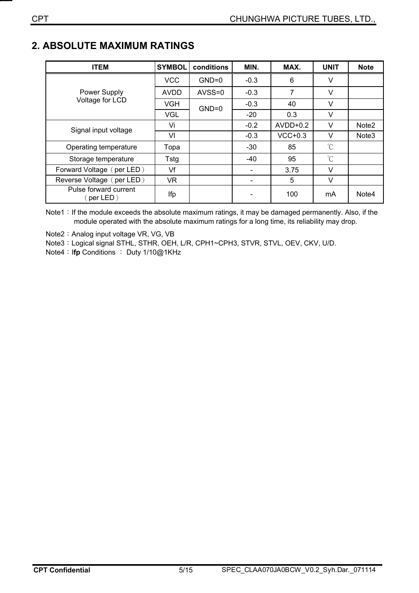### **2. ABSOLUTE MAXIMUM RATINGS**

| <b>ITEM</b>                        | <b>SYMBOL</b> | conditions | MIN.   | MAX.       | <b>UNIT</b>          | <b>Note</b>       |
|------------------------------------|---------------|------------|--------|------------|----------------------|-------------------|
|                                    | <b>VCC</b>    | $GND=0$    | $-0.3$ | 6          | V                    |                   |
| Power Supply                       | <b>AVDD</b>   | $AVSS=0$   | $-0.3$ | 7          | V                    |                   |
| Voltage for LCD                    | <b>VGH</b>    | $GND=0$    | $-0.3$ | 40         | $\vee$               |                   |
|                                    | <b>VGL</b>    |            | $-20$  | 0.3        | $\vee$               |                   |
| Signal input voltage               | Vi            |            | $-0.2$ | $AVDD+0.2$ | V                    | Note <sub>2</sub> |
|                                    | VI            |            | $-0.3$ | $VCC+0.3$  | $\vee$               | Note <sub>3</sub> |
| Operating temperature              | Topa          |            | $-30$  | 85         | $\mathrm{C}^{\circ}$ |                   |
| Storage temperature                | Tstg          |            | $-40$  | 95         | $^{\circ}C$          |                   |
| Forward Voltage (per LED)          | Vf            |            |        | 3.75       | V                    |                   |
| Reverse Voltage (per LED)          | VR            |            |        | 5          | $\vee$               |                   |
| Pulse forward current<br>(per LED) | Ifp           |            |        | 100        | mA                   | Note4             |

Note1: If the module exceeds the absolute maximum ratings, it may be damaged permanently. Also, if the module operated with the absolute maximum ratings for a long time, its reliability may drop.

Note2: Analog input voltage VR, VG, VB

Note3: Logical signal STHL, STHR, OEH, L/R, CPH1~CPH3, STVR, STVL, OEV, CKV, U/D.

**Note4: Ifp Conditions : Duty 1/10@1KHz**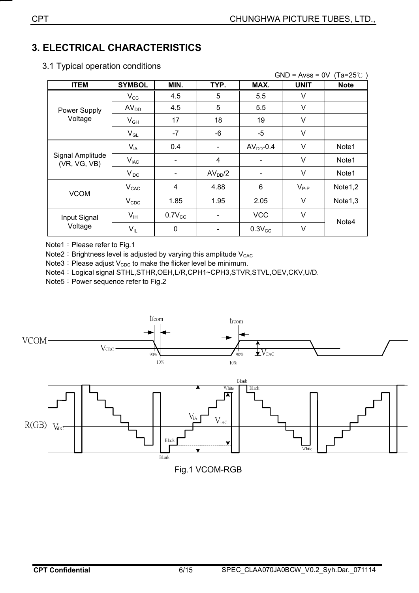## **3. ELECTRICAL CHARACTERISTICS**

| $GND = Avss = 0V$<br>$(Ta=25^{\circ}$ ) |                  |             |                     |              |             |                     |
|-----------------------------------------|------------------|-------------|---------------------|--------------|-------------|---------------------|
| <b>ITEM</b>                             | <b>SYMBOL</b>    | MIN.        | TYP.                | MAX.         | <b>UNIT</b> | <b>Note</b>         |
|                                         | $V_{\rm CC}$     | 4.5         | 5                   | 5.5          | V           |                     |
| Power Supply                            | AV <sub>DD</sub> | 4.5         | 5                   | 5.5          | V           |                     |
| Voltage                                 | $V_{GH}$         | 17          | 18                  | 19           | V           |                     |
|                                         | $V_{GL}$         | $-7$        | -6                  | $-5$         | V           |                     |
|                                         | $V_{iA}$         | 0.4         |                     | $AVDD - 0.4$ | V           | Note1               |
| Signal Amplitude<br>(VR, VG, VB)        | $V_{iAC}$        |             | 4                   |              | V           | Note1               |
|                                         | $V_{\text{IDC}}$ |             | AV <sub>DD</sub> /2 |              | V           | Note1               |
| <b>VCOM</b>                             | $V_{CAC}$        | 4           | 4.88                | 6            | $V_{P-P}$   | Note1,2             |
|                                         | $V_{CDC}$        | 1.85        | 1.95                | 2.05         | V           | Note <sub>1,3</sub> |
| Input Signal                            | $V_{IH}$         | $0.7V_{CC}$ |                     | <b>VCC</b>   | V           |                     |
| Voltage                                 | $V_{IL}$         | $\mathbf 0$ |                     | $0.3V_{CC}$  | V           | Note4               |

3.1 Typical operation conditions

Note1: Please refer to Fig.1

Note2: Brightness level is adjusted by varying this amplitude  $V_{CAC}$ 

Note3: Please adjust  $V_{CDC}$  to make the flicker level be minimum.

Note4: Logical signal STHL,STHR,OEH,L/R,CPH1~CPH3,STVR,STVL,OEV,CKV,U/D.

Note5: Power sequence refer to Fig.2



Fig.1 VCOM-RGB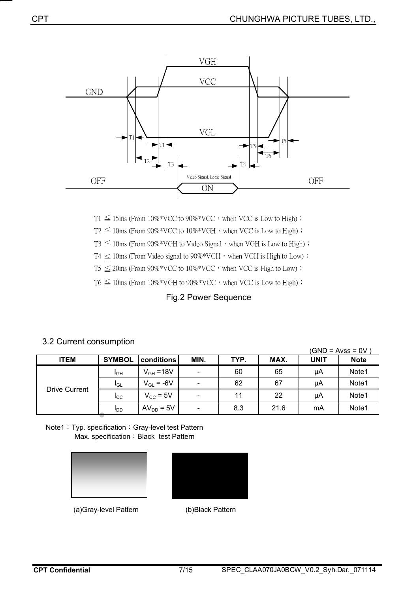

 $T1 \leq 15$ ms (From  $10\%$ <sup>\*</sup>VCC to  $90\%$ <sup>\*</sup>VCC</sub>, when VCC is Low to High) ;

 $T2 \leq 10$ ms (From 90%\*VCC to  $10\%$ \*VGH, when VCC is Low to High);

 $T3 \leq 10$ ms (From 90%\*VGH to Video Signal  $\cdot$  when VGH is Low to High) ;

 $T4 \leq 10$ ms (From Video signal to 90%\*VGH, when VGH is High to Low) ;

 $T5 \leq 20$ ms (From  $90\%^*VCC$  to  $10\%^*VCC$ , when VCC is High to Low) ;

 $T6 \leq 10$ ms (From  $10\%^*VGH$  to  $90\%^*VCC$ , when VCC is Low to High);

#### Fig.2 Power Sequence

# 3.2 Current consumption (GND = Avss = 0V )

| <b>ITEM</b>   | <b>SYMBOL</b>   | conditions        | MIN.                         | TYP. | MAX. | UNIT | <b>Note</b> |
|---------------|-----------------|-------------------|------------------------------|------|------|------|-------------|
|               | $I_{GH}$        | $V_{GH} = 18V$    | $\qquad \qquad \blacksquare$ | 60   | 65   | μA   | Note1       |
|               | IGL             | $V_{GL} = -6V$    | $\overline{\phantom{0}}$     | 62   | 67   | μA   | Note1       |
| Drive Current | <b>I</b> cc     | $V_{\rm CC}$ = 5V | $\qquad \qquad \blacksquare$ | 11   | 22   | μA   | Note1       |
|               | I <sub>DD</sub> | $AV_{DD} = 5V$    | $\overline{\phantom{0}}$     | 8.3  | 21.6 | mA   | Note1       |

Note1: Typ. specification: Gray-level test Pattern Max. specification: Black test Pattern





ʳʳʳʳʳʳʳʳʳʳʳʳʳʳʳʳʳʳʳʳʳʳʳ(a)Gray-level Pattern (b)Black Pattern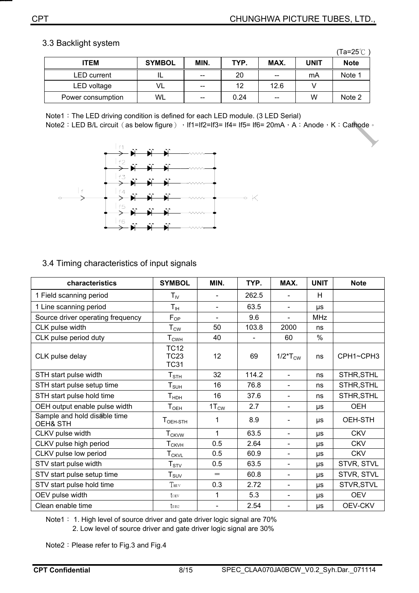#### 3.3 Backlight system

|                    |               |       |      |       |      | (Ta=25℃     |
|--------------------|---------------|-------|------|-------|------|-------------|
| <b>ITEM</b>        | <b>SYMBOL</b> | MIN.  | TYP. | MAX.  | UNIT | <b>Note</b> |
| <b>LED</b> current |               | $- -$ | 20   | $- -$ | mA   | Note 1      |
| LED voltage        | VL            | $- -$ | 12   | 12.6  |      |             |
| Power consumption  | WL            | $- -$ | 0.24 | $- -$ | W    | Note 2      |

Note1: The LED driving condition is defined for each LED module. (3 LED Serial)

Note2: LED B/L circuit (as below figure) → If1=If2=If3= If4= If5= If6= 20mA → A: Anode → K: Cathode →



#### 3.4 Timing characteristics of input signals

| characteristics                                     | <b>SYMBOL</b>                             | MIN.             | TYP.  | MAX.                               | <b>UNIT</b> | <b>Note</b> |
|-----------------------------------------------------|-------------------------------------------|------------------|-------|------------------------------------|-------------|-------------|
| 1 Field scanning period                             | $T_{\mathsf{IV}}$                         |                  | 262.5 | $\blacksquare$                     | H           |             |
| 1 Line scanning period                              | $\mathsf{T}_{\mathsf{IH}}$                |                  | 63.5  | $\overline{\phantom{a}}$           | μs          |             |
| Source driver operating frequency                   | $F_{OP}$                                  |                  | 9.6   | $\blacksquare$                     | <b>MHz</b>  |             |
| CLK pulse width                                     | $T_{\text{CW}}$                           | 50               | 103.8 | 2000                               | ns          |             |
| CLK pulse period duty                               | ${\tt T}_{\sf CWH}$                       | 40               |       | 60                                 | $\%$        |             |
| CLK pulse delay                                     | <b>TC12</b><br><b>TC23</b><br><b>TC31</b> | 12               | 69    | $1/2$ <sup>*</sup> $T_{\text{CW}}$ | ns          | CPH1~CPH3   |
| STH start pulse width                               | ${\sf T}_{\sf STH}$                       | 32               | 114.2 | $\blacksquare$                     | ns          | STHR, STHL  |
| STH start pulse setup time                          | $T_{\scriptstyle\text{SUH}}$              | 16               | 76.8  | $\blacksquare$                     | ns          | STHR, STHL  |
| STH start pulse hold time                           | T <sub>HDH</sub>                          | 16               | 37.6  | $\overline{\phantom{a}}$           | ns          | STHR, STHL  |
| OEH output enable pulse width                       | $T_{\text{OEH}}$                          | $1T_{\text{CW}}$ | 2.7   | $\overline{\phantom{a}}$           | $\mu$ s     | <b>OEH</b>  |
| Sample and hold disable time<br><b>OEH&amp; STH</b> | $TOEH-STH$                                | 1                | 8.9   | $\qquad \qquad \blacksquare$       | μs          | OEH-STH     |
| CLKV pulse width                                    | $T_{CKVW}$                                | 1                | 63.5  | $\overline{\phantom{0}}$           | μs          | <b>CKV</b>  |
| CLKV pulse high period                              | ${\mathsf T}_{\mathsf{CKVH}}$             | 0.5              | 2.64  | $\qquad \qquad \blacksquare$       | μs          | <b>CKV</b>  |
| CLKV pulse low period                               | $T_{CKVL}$                                | 0.5              | 60.9  | $\overline{\phantom{a}}$           | μs          | <b>CKV</b>  |
| STV start pulse width                               | ${\sf T}_{\sf STV}$                       | 0.5              | 63.5  | $\overline{\phantom{a}}$           | μs          | STVR, STVL  |
| STV start pulse setup time                          | ${\sf T}_{\sf SUV}$                       | $=$              | 60.8  | $\blacksquare$                     | μs          | STVR, STVL  |
| STV start pulse hold time                           | THDV                                      | 0.3              | 2.72  | $\qquad \qquad \blacksquare$       | μs          | STVR, STVL  |
| OEV pulse width                                     | toev                                      | 1                | 5.3   | $\overline{\phantom{a}}$           | μs          | <b>OEV</b>  |
| Clean enable time                                   | t <sub>DIS2</sub>                         |                  | 2.54  | $\qquad \qquad \blacksquare$       | μs          | OEV-CKV     |

Note1: 1. High level of source driver and gate driver logic signal are 70% 2. Low level of source driver and gate driver logic signal are 30%

Note2: Please refer to Fig.3 and Fig.4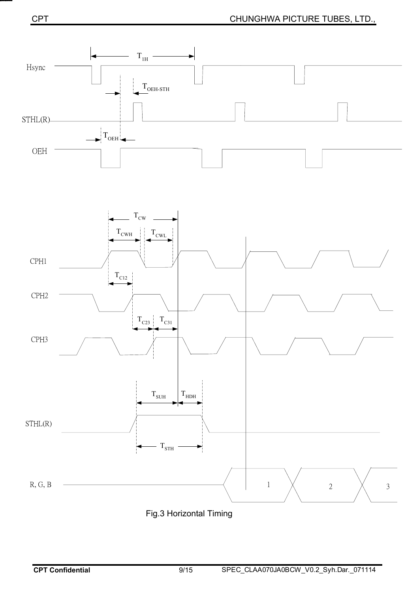

Fig.3 Horizontal Timing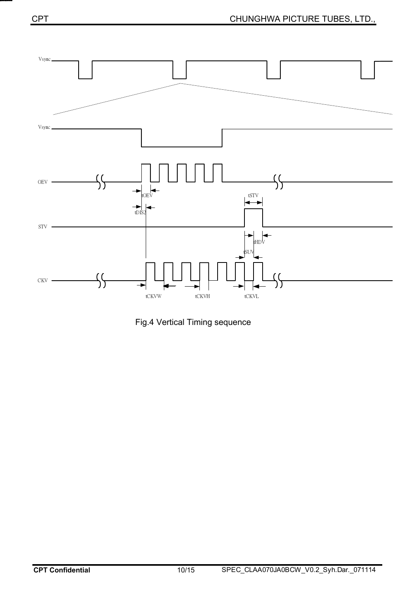

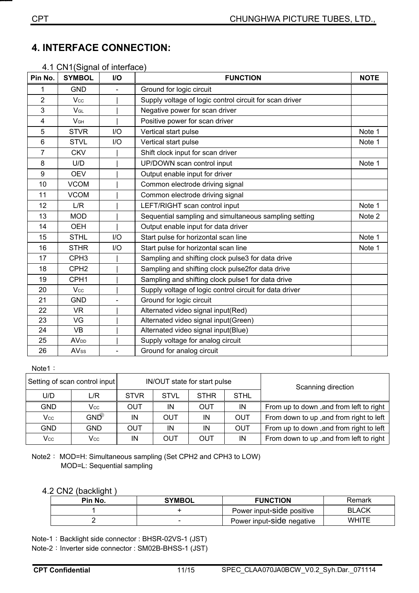### **4.**ʳ**INTERFACE CONNECTION:**

|  |  |  |  | 4.1 CN1(Signal of interface) |  |
|--|--|--|--|------------------------------|--|
|--|--|--|--|------------------------------|--|

| Pin No.        | <b>SYMBOL</b>          | I/O            | <b>FUNCTION</b>                                         | <b>NOTE</b> |
|----------------|------------------------|----------------|---------------------------------------------------------|-------------|
| 1              | <b>GND</b>             | $\overline{a}$ | Ground for logic circuit                                |             |
| $\overline{2}$ | Vcc                    |                | Supply voltage of logic control circuit for scan driver |             |
| 3              | VGL                    |                | Negative power for scan driver                          |             |
| 4              | V <sub>GH</sub>        |                | Positive power for scan driver                          |             |
| 5              | <b>STVR</b>            | I/O            | Vertical start pulse                                    | Note 1      |
| 6              | <b>STVL</b>            | 1/O            | Vertical start pulse                                    | Note 1      |
| 7              | <b>CKV</b>             |                | Shift clock input for scan driver                       |             |
| 8              | U/D                    |                | UP/DOWN scan control input                              | Note 1      |
| 9              | <b>OEV</b>             |                | Output enable input for driver                          |             |
| 10             | <b>VCOM</b>            |                | Common electrode driving signal                         |             |
| 11             | <b>VCOM</b>            |                | Common electrode driving signal                         |             |
| 12             | L/R                    |                | LEFT/RIGHT scan control input                           | Note 1      |
| 13             | <b>MOD</b>             |                | Sequential sampling and simultaneous sampling setting   | Note 2      |
| 14             | <b>OEH</b>             |                | Output enable input for data driver                     |             |
| 15             | <b>STHL</b>            | I/O            | Start pulse for horizontal scan line                    | Note 1      |
| 16             | <b>STHR</b>            | 1/O            | Start pulse for horizontal scan line                    | Note 1      |
| 17             | CPH <sub>3</sub>       |                | Sampling and shifting clock pulse3 for data drive       |             |
| 18             | CPH <sub>2</sub>       |                | Sampling and shifting clock pulse2for data drive        |             |
| 19             | CPH <sub>1</sub>       |                | Sampling and shifting clock pulse1 for data drive       |             |
| 20             | Vcc                    |                | Supply voltage of logic control circuit for data driver |             |
| 21             | <b>GND</b>             |                | Ground for logic circuit                                |             |
| 22             | <b>VR</b>              |                | Alternated video signal input(Red)                      |             |
| 23             | VG                     |                | Alternated video signal input(Green)                    |             |
| 24             | <b>VB</b>              |                | Alternated video signal input(Blue)                     |             |
| 25             | <b>AV<sub>DD</sub></b> |                | Supply voltage for analog circuit                       |             |
| 26             | <b>AVss</b>            |                | Ground for analog circuit                               |             |

#### Note1:

|            | Setting of scan control input | IN/OUT state for start pulse |             |             |             | Scanning direction                      |
|------------|-------------------------------|------------------------------|-------------|-------------|-------------|-----------------------------------------|
| U/D        | L/R                           | <b>STVR</b>                  | <b>STVL</b> | <b>STHR</b> | <b>STHL</b> |                                         |
| <b>GND</b> | $\mathsf{Vcc}$                | OUT                          | IN          | <b>OUT</b>  | IN          | From up to down, and from left to right |
| Vcc        | <b>GND</b>                    | ΙN                           | OUT         | IN          | <b>OUT</b>  | From down to up, and from right to left |
| <b>GND</b> | GND.                          | OUT                          | IN          | IN          | <b>OUT</b>  | From up to down, and from right to left |
| $\sf{Vcc}$ | Vcc                           | IN                           | OUT         | OUT         | IN          | From down to up, and from left to right |

Note2: MOD=H: Simultaneous sampling (Set CPH2 and CPH3 to LOW) MOD=L: Sequential sampling

#### 4.2 CN2 (backlight )

| Pin No. | <b>SYMBOL</b> | <b>FUNCTION</b>           | Remark       |
|---------|---------------|---------------------------|--------------|
|         |               | Power input-Side positive | <b>BLACK</b> |
|         | -             | Power input-Side negative | WHITE        |

Note-1: Backlight side connector : BHSR-02VS-1 (JST)

Note-2: Inverter side connector : SM02B-BHSS-1 (JST)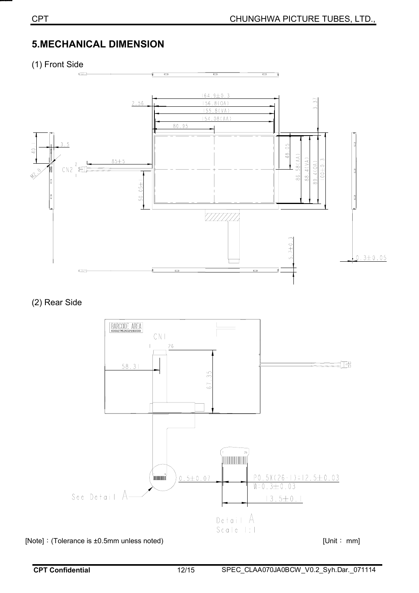### **5.MECHANICAL DIMENSION**

(1) Front Side



(2) Rear Side



[Note]: (Tolerance is ±0.5mm unless noted) [Unit: mm]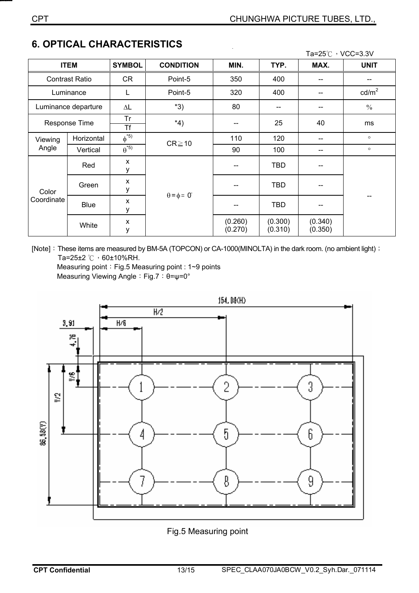-- TBD --

TBD

-- TBD --

(0.300) (0.310) (0.340) (0.350) --

## Ta=25 $\degree$ C  $\degree$  VCC=3.3V ITEM SYMBOL CONDITION MIN. TYP. MAX. UNIT Contrast Ratio | CR | Point-5 | 350 | 400 | --Luminance  $\begin{array}{|c|c|c|c|c|}\hline \text{L} & \text{Point-5} & 320 & 400 & - & \text{cd/m}^2\hline \end{array}$ Luminance departure  $\vert$   $\Delta L$   $\vert$   $*3$   $\vert$  80  $\vert$  --  $\vert$  --  $\vert$  % Response Time  $\begin{array}{|c|c|c|c|c|}\n\hline\n\text{Tr}\n\hline\n\text{Tr}\n\end{array}$  \*4)  $\begin{array}{|c|c|c|}\n\hline\n\text{Tr}\n\end{array}$  25 40 ms Viewing Horizontal  $\phi^{^{*5)}$  |  $\qquad \qquad$   $\qquad$  | 110 | 120 | -- |  $\qquad \circ$ Angle Vertical  $\theta^{5}$  CR  $\geq$  10 90 | 100 | -- | °

 $\theta = \phi = 0^\circ$ 

### **6. OPTICAL CHARACTERISTICS**

Red |  $x$ 

Green **x** 

Blue  $\vert$  x

White **x** 

y

y

y

y

[Note]: These items are measured by BM-5A (TOPCON) or CA-1000(MINOLTA) in the dark room. (no ambient light) is Ta=25±2  $\degree$ C  $\cdot$  60±10%RH.

(0.260) (0.270)

Measuring point: Fig.5 Measuring point:  $1~9$  points Measuring Viewing Angle: Fig.7: θ=ψ=0°



#### Fig.5 Measuring point

Color Coordinate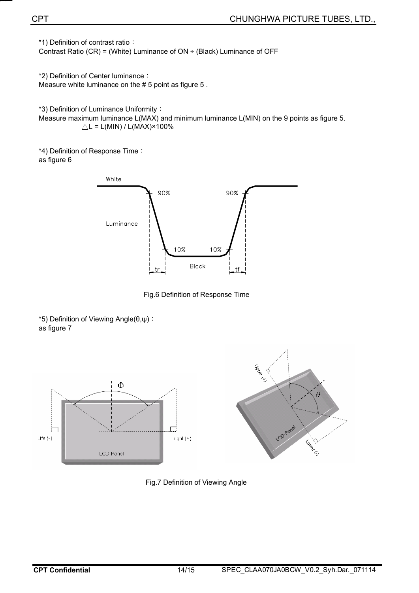\*1) Definition of contrast ratio:

Contrast Ratio (CR) = (White) Luminance of  $ON \div$  (Black) Luminance of OFF

\*2) Definition of Center luminance: Measure white luminance on the # 5 point as figure 5 .

\*3) Definition of Luminance Uniformity:

Measure maximum luminance L(MAX) and minimum luminance L(MIN) on the 9 points as figure 5.  $\triangle L = L(MIN) / L(MAX) \times 100\%$ 

\*4) Definition of Response Time: as figure 6



Fig.6 Definition of Response Time

\*5) Definition of Viewing Angle( $\theta, \psi$ ): as figure 7